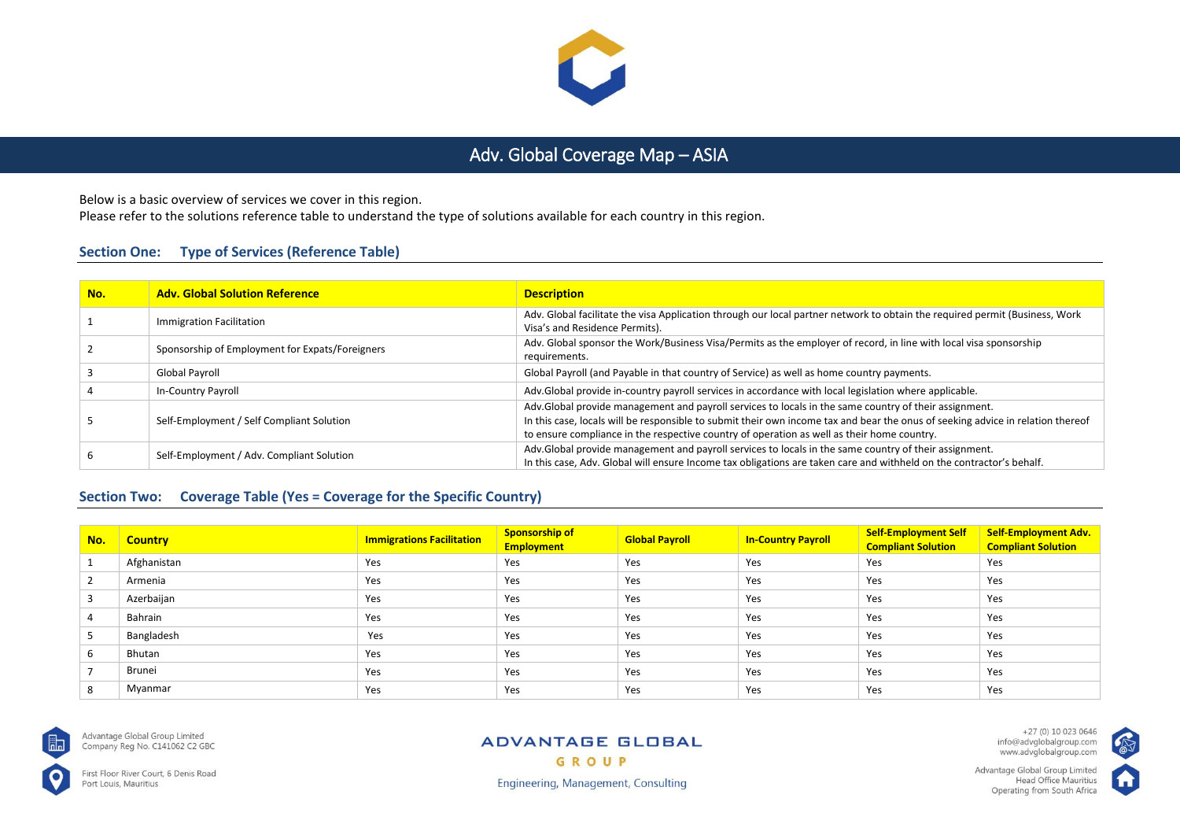

# Adv. Global Coverage Map – ASIA

Below is a basic overview of services we cover in this region.

Please refer to the solutions reference table to understand the type of solutions available for each country in this region.

# **Section One: Type of Services (Reference Table)**

| No. | <b>Adv. Global Solution Reference</b>           | <b>Description</b>                                                                                                                                                                                                                                                                                                                     |
|-----|-------------------------------------------------|----------------------------------------------------------------------------------------------------------------------------------------------------------------------------------------------------------------------------------------------------------------------------------------------------------------------------------------|
|     | Immigration Facilitation                        | Adv. Global facilitate the visa Application through our local partner network to obtain the required permit (Business, Work<br>Visa's and Residence Permits).                                                                                                                                                                          |
|     | Sponsorship of Employment for Expats/Foreigners | Adv. Global sponsor the Work/Business Visa/Permits as the employer of record, in line with local visa sponsorship<br>requirements.                                                                                                                                                                                                     |
|     | Global Payroll                                  | Global Payroll (and Payable in that country of Service) as well as home country payments.                                                                                                                                                                                                                                              |
|     | In-Country Payroll                              | Adv.Global provide in-country payroll services in accordance with local legislation where applicable.                                                                                                                                                                                                                                  |
|     | Self-Employment / Self Compliant Solution       | Adv.Global provide management and payroll services to locals in the same country of their assignment.<br>In this case, locals will be responsible to submit their own income tax and bear the onus of seeking advice in relation thereof<br>to ensure compliance in the respective country of operation as well as their home country. |
|     | Self-Employment / Adv. Compliant Solution       | Adv.Global provide management and payroll services to locals in the same country of their assignment.<br>In this case, Adv. Global will ensure Income tax obligations are taken care and withheld on the contractor's behalf.                                                                                                          |

# **Section Two: Coverage Table (Yes = Coverage for the Specific Country)**

| No.           | <b>Country</b> | <b>Immigrations Facilitation</b> | <b>Sponsorship of</b><br><b>Employment</b> | <b>Global Payroll</b> | <b>In-Country Payroll</b> | <b>Self-Employment Self</b><br><b>Compliant Solution</b> | <b>Self-Employment Adv.</b><br><b>Compliant Solution</b> |
|---------------|----------------|----------------------------------|--------------------------------------------|-----------------------|---------------------------|----------------------------------------------------------|----------------------------------------------------------|
|               | Afghanistan    | Yes                              | Yes                                        | Yes                   | Yes                       | Yes                                                      | Yes                                                      |
| $\mathcal{L}$ | Armenia        | Yes                              | Yes                                        | Yes                   | Yes                       | Yes                                                      | Yes                                                      |
|               | Azerbaijan     | Yes                              | Yes                                        | Yes                   | Yes                       | Yes                                                      | Yes                                                      |
|               | Bahrain        | Yes                              | Yes                                        | Yes                   | Yes                       | Yes                                                      | Yes                                                      |
|               | Bangladesh     | Yes                              | Yes                                        | Yes                   | Yes                       | Yes                                                      | Yes                                                      |
| 6             | Bhutan         | Yes                              | Yes                                        | Yes                   | Yes                       | Yes                                                      | Yes                                                      |
|               | Brunei         | Yes                              | Yes                                        | Yes                   | Yes                       | Yes                                                      | Yes                                                      |
| 8             | Myanmar        | Yes                              | Yes                                        | Yes                   | Yes                       | Yes                                                      | Yes                                                      |



Advantage Global Group Limited Company Reg No. C141062 C2 GBC

First Floor River Court, 6 Denis Road Port Louis, Mauritius

#### **ADVANTAGE GLOBAL** GROUP

+27 (0) 10 023 0646<br>info@advglobalgroup.com<br>www.advglobalgroup.com

Advantage Global Group Limited Head Office Mauritius Operating from South Africa



**Engineering, Management, Consulting**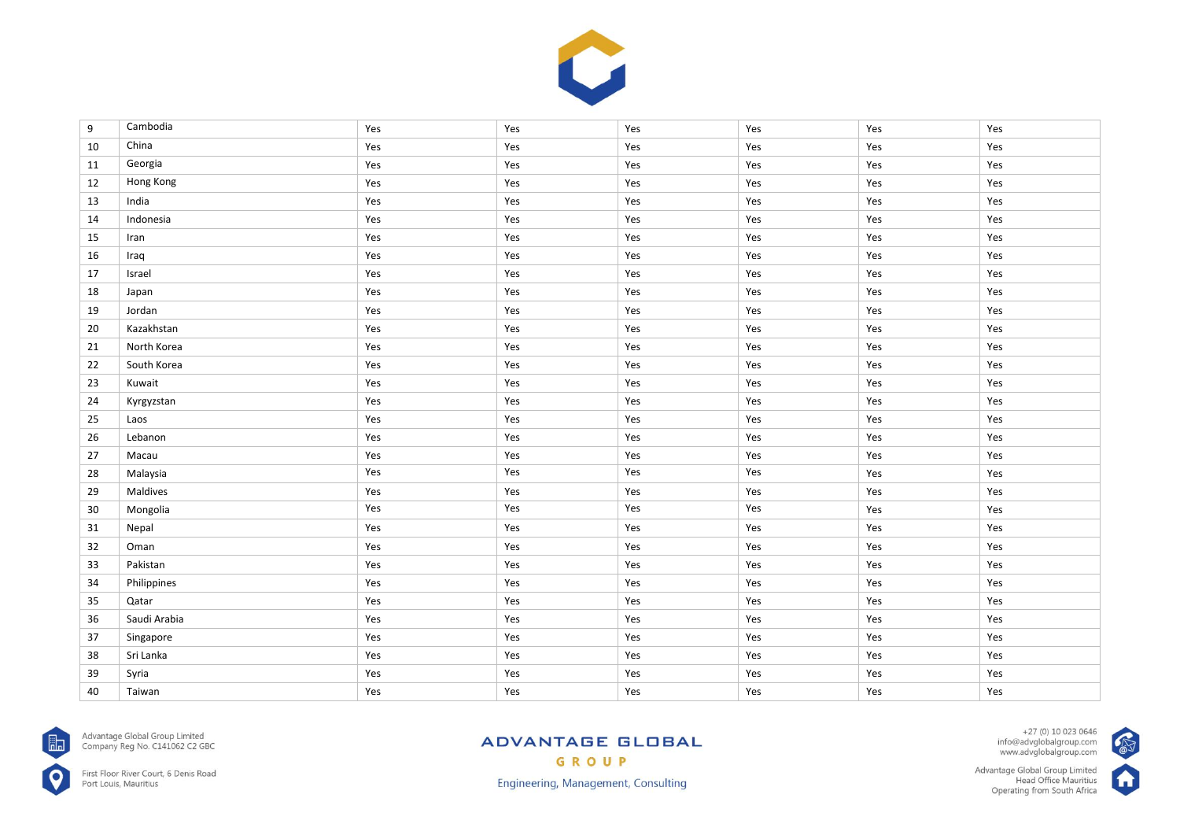

| 9  | Cambodia     | Yes | Yes | Yes | Yes | Yes | Yes |
|----|--------------|-----|-----|-----|-----|-----|-----|
| 10 | China        | Yes | Yes | Yes | Yes | Yes | Yes |
| 11 | Georgia      | Yes | Yes | Yes | Yes | Yes | Yes |
| 12 | Hong Kong    | Yes | Yes | Yes | Yes | Yes | Yes |
| 13 | India        | Yes | Yes | Yes | Yes | Yes | Yes |
| 14 | Indonesia    | Yes | Yes | Yes | Yes | Yes | Yes |
| 15 | Iran         | Yes | Yes | Yes | Yes | Yes | Yes |
| 16 | Iraq         | Yes | Yes | Yes | Yes | Yes | Yes |
| 17 | Israel       | Yes | Yes | Yes | Yes | Yes | Yes |
| 18 | Japan        | Yes | Yes | Yes | Yes | Yes | Yes |
| 19 | Jordan       | Yes | Yes | Yes | Yes | Yes | Yes |
| 20 | Kazakhstan   | Yes | Yes | Yes | Yes | Yes | Yes |
| 21 | North Korea  | Yes | Yes | Yes | Yes | Yes | Yes |
| 22 | South Korea  | Yes | Yes | Yes | Yes | Yes | Yes |
| 23 | Kuwait       | Yes | Yes | Yes | Yes | Yes | Yes |
| 24 | Kyrgyzstan   | Yes | Yes | Yes | Yes | Yes | Yes |
| 25 | Laos         | Yes | Yes | Yes | Yes | Yes | Yes |
| 26 | Lebanon      | Yes | Yes | Yes | Yes | Yes | Yes |
| 27 | Macau        | Yes | Yes | Yes | Yes | Yes | Yes |
| 28 | Malaysia     | Yes | Yes | Yes | Yes | Yes | Yes |
| 29 | Maldives     | Yes | Yes | Yes | Yes | Yes | Yes |
| 30 | Mongolia     | Yes | Yes | Yes | Yes | Yes | Yes |
| 31 | Nepal        | Yes | Yes | Yes | Yes | Yes | Yes |
| 32 | Oman         | Yes | Yes | Yes | Yes | Yes | Yes |
| 33 | Pakistan     | Yes | Yes | Yes | Yes | Yes | Yes |
| 34 | Philippines  | Yes | Yes | Yes | Yes | Yes | Yes |
| 35 | Qatar        | Yes | Yes | Yes | Yes | Yes | Yes |
| 36 | Saudi Arabia | Yes | Yes | Yes | Yes | Yes | Yes |
| 37 | Singapore    | Yes | Yes | Yes | Yes | Yes | Yes |
| 38 | Sri Lanka    | Yes | Yes | Yes | Yes | Yes | Yes |
| 39 | Syria        | Yes | Yes | Yes | Yes | Yes | Yes |
| 40 | Taiwan       | Yes | Yes | Yes | Yes | Yes | Yes |



Advantage Global Group Limited<br>Company Reg No. C141062 C2 GBC

First Floor River Court, 6 Denis Road<br>Port Louis, Mauritius

# **ADVANTAGE GLOBAL** GROUP

**Engineering, Management, Consulting** 

+27 (0) 10 023 0646<br>info@advglobalgroup.com<br>www.advglobalgroup.com

Advantage Global Group Limited<br>Head Office Mauritius<br>Operating from South Africa